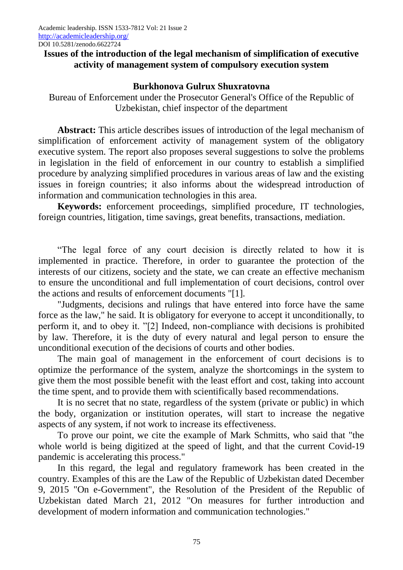## **Issues of the introduction of the legal mechanism of simplification of executive activity of management system of compulsory execution system**

## **Burkhonova Gulrux Shuxratovna**

Bureau of Enforcement under the Prosecutor General's Office of the Republic of Uzbekistan, chief inspector of the department

**Abstract:** This article describes issues of introduction of the legal mechanism of simplification of enforcement activity of management system of the obligatory executive system. The report also proposes several suggestions to solve the problems in legislation in the field of enforcement in our country to establish a simplified procedure by analyzing simplified procedures in various areas of law and the existing issues in foreign countries; it also informs about the widespread introduction of information and communication technologies in this area.

**Keywords:** enforcement proceedings, simplified procedure, IT technologies, foreign countries, litigation, time savings, great benefits, transactions, mediation.

"The legal force of any court decision is directly related to how it is implemented in practice. Therefore, in order to guarantee the protection of the interests of our citizens, society and the state, we can create an effective mechanism to ensure the unconditional and full implementation of court decisions, control over the actions and results of enforcement documents "[1].

"Judgments, decisions and rulings that have entered into force have the same force as the law," he said. It is obligatory for everyone to accept it unconditionally, to perform it, and to obey it. "[2] Indeed, non-compliance with decisions is prohibited by law. Therefore, it is the duty of every natural and legal person to ensure the unconditional execution of the decisions of courts and other bodies.

The main goal of management in the enforcement of court decisions is to optimize the performance of the system, analyze the shortcomings in the system to give them the most possible benefit with the least effort and cost, taking into account the time spent, and to provide them with scientifically based recommendations.

It is no secret that no state, regardless of the system (private or public) in which the body, organization or institution operates, will start to increase the negative aspects of any system, if not work to increase its effectiveness.

To prove our point, we cite the example of Mark Schmitts, who said that "the whole world is being digitized at the speed of light, and that the current Covid-19 pandemic is accelerating this process."

In this regard, the legal and regulatory framework has been created in the country. Examples of this are the Law of the Republic of Uzbekistan dated December 9, 2015 "On e-Government", the Resolution of the President of the Republic of Uzbekistan dated March 21, 2012 "On measures for further introduction and development of modern information and communication technologies."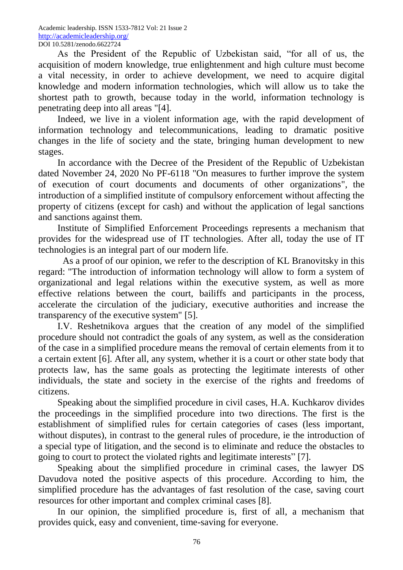As the President of the Republic of Uzbekistan said, "for all of us, the acquisition of modern knowledge, true enlightenment and high culture must become a vital necessity, in order to achieve development, we need to acquire digital knowledge and modern information technologies, which will allow us to take the shortest path to growth, because today in the world, information technology is penetrating deep into all areas "[4].

Indeed, we live in a violent information age, with the rapid development of information technology and telecommunications, leading to dramatic positive changes in the life of society and the state, bringing human development to new stages.

In accordance with the Decree of the President of the Republic of Uzbekistan dated November 24, 2020 No PF-6118 "On measures to further improve the system of execution of court documents and documents of other organizations", the introduction of a simplified institute of compulsory enforcement without affecting the property of citizens (except for cash) and without the application of legal sanctions and sanctions against them.

Institute of Simplified Enforcement Proceedings represents a mechanism that provides for the widespread use of IT technologies. After all, today the use of IT technologies is an integral part of our modern life.

As a proof of our opinion, we refer to the description of KL Branovitsky in this regard: "The introduction of information technology will allow to form a system of organizational and legal relations within the executive system, as well as more effective relations between the court, bailiffs and participants in the process, accelerate the circulation of the judiciary, executive authorities and increase the transparency of the executive system" [5].

I.V. Reshetnikova argues that the creation of any model of the simplified procedure should not contradict the goals of any system, as well as the consideration of the case in a simplified procedure means the removal of certain elements from it to a certain extent [6]. After all, any system, whether it is a court or other state body that protects law, has the same goals as protecting the legitimate interests of other individuals, the state and society in the exercise of the rights and freedoms of citizens.

Speaking about the simplified procedure in civil cases, H.A. Kuchkarov divides the proceedings in the simplified procedure into two directions. The first is the establishment of simplified rules for certain categories of cases (less important, without disputes), in contrast to the general rules of procedure, ie the introduction of a special type of litigation, and the second is to eliminate and reduce the obstacles to going to court to protect the violated rights and legitimate interests" [7].

Speaking about the simplified procedure in criminal cases, the lawyer DS Davudova noted the positive aspects of this procedure. According to him, the simplified procedure has the advantages of fast resolution of the case, saving court resources for other important and complex criminal cases [8].

In our opinion, the simplified procedure is, first of all, a mechanism that provides quick, easy and convenient, time-saving for everyone.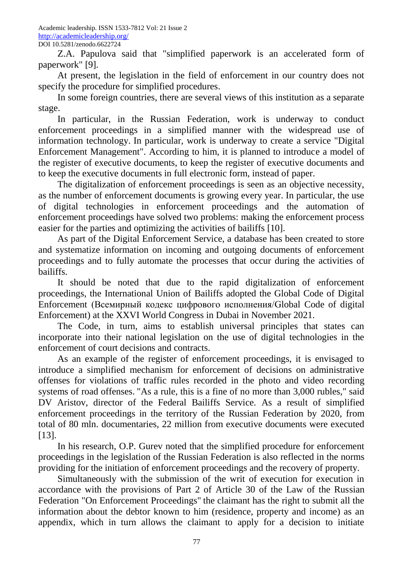Z.A. Papulova said that "simplified paperwork is an accelerated form of paperwork" [9].

At present, the legislation in the field of enforcement in our country does not specify the procedure for simplified procedures.

In some foreign countries, there are several views of this institution as a separate stage.

In particular, in the Russian Federation, work is underway to conduct enforcement proceedings in a simplified manner with the widespread use of information technology. In particular, work is underway to create a service "Digital Enforcement Management". According to him, it is planned to introduce a model of the register of executive documents, to keep the register of executive documents and to keep the executive documents in full electronic form, instead of paper.

The digitalization of enforcement proceedings is seen as an objective necessity, as the number of enforcement documents is growing every year. In particular, the use of digital technologies in enforcement proceedings and the automation of enforcement proceedings have solved two problems: making the enforcement process easier for the parties and optimizing the activities of bailiffs [10].

As part of the Digital Enforcement Service, a database has been created to store and systematize information on incoming and outgoing documents of enforcement proceedings and to fully automate the processes that occur during the activities of bailiffs.

It should be noted that due to the rapid digitalization of enforcement proceedings, the International Union of Bailiffs adopted the Global Code of Digital Enforcement (Всемирный кодекс цифрового исполнения/Global Code of digital Enforcement) at the XXVI World Congress in Dubai in November 2021.

The Code, in turn, aims to establish universal principles that states can incorporate into their national legislation on the use of digital technologies in the enforcement of court decisions and contracts.

As an example of the register of enforcement proceedings, it is envisaged to introduce a simplified mechanism for enforcement of decisions on administrative offenses for violations of traffic rules recorded in the photo and video recording systems of road offenses. "As a rule, this is a fine of no more than 3,000 rubles," said DV Aristov, director of the Federal Bailiffs Service. As a result of simplified enforcement proceedings in the territory of the Russian Federation by 2020, from total of 80 mln. documentaries, 22 million from executive documents were executed [13].

In his research, O.P. Gurev noted that the simplified procedure for enforcement proceedings in the legislation of the Russian Federation is also reflected in the norms providing for the initiation of enforcement proceedings and the recovery of property.

Simultaneously with the submission of the writ of execution for execution in accordance with the provisions of Part 2 of Article 30 of the Law of the Russian Federation "On Enforcement Proceedings" the claimant has the right to submit all the information about the debtor known to him (residence, property and income) as an appendix, which in turn allows the claimant to apply for a decision to initiate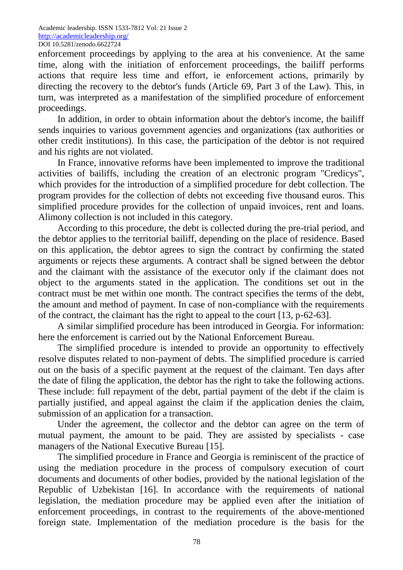enforcement proceedings by applying to the area at his convenience. At the same time, along with the initiation of enforcement proceedings, the bailiff performs actions that require less time and effort, ie enforcement actions, primarily by directing the recovery to the debtor's funds (Article 69, Part 3 of the Law). This, in turn, was interpreted as a manifestation of the simplified procedure of enforcement proceedings.

In addition, in order to obtain information about the debtor's income, the bailiff sends inquiries to various government agencies and organizations (tax authorities or other credit institutions). In this case, the participation of the debtor is not required and his rights are not violated.

In France, innovative reforms have been implemented to improve the traditional activities of bailiffs, including the creation of an electronic program "Credicys", which provides for the introduction of a simplified procedure for debt collection. The program provides for the collection of debts not exceeding five thousand euros. This simplified procedure provides for the collection of unpaid invoices, rent and loans. Alimony collection is not included in this category.

According to this procedure, the debt is collected during the pre-trial period, and the debtor applies to the territorial bailiff, depending on the place of residence. Based on this application, the debtor agrees to sign the contract by confirming the stated arguments or rejects these arguments. A contract shall be signed between the debtor and the claimant with the assistance of the executor only if the claimant does not object to the arguments stated in the application. The conditions set out in the contract must be met within one month. The contract specifies the terms of the debt, the amount and method of payment. In case of non-compliance with the requirements of the contract, the claimant has the right to appeal to the court [13, p-62-63].

A similar simplified procedure has been introduced in Georgia. For information: here the enforcement is carried out by the National Enforcement Bureau.

The simplified procedure is intended to provide an opportunity to effectively resolve disputes related to non-payment of debts. The simplified procedure is carried out on the basis of a specific payment at the request of the claimant. Ten days after the date of filing the application, the debtor has the right to take the following actions. These include: full repayment of the debt, partial payment of the debt if the claim is partially justified, and appeal against the claim if the application denies the claim, submission of an application for a transaction.

Under the agreement, the collector and the debtor can agree on the term of mutual payment, the amount to be paid. They are assisted by specialists - case managers of the National Executive Bureau [15].

The simplified procedure in France and Georgia is reminiscent of the practice of using the mediation procedure in the process of compulsory execution of court documents and documents of other bodies, provided by the national legislation of the Republic of Uzbekistan [16]. In accordance with the requirements of national legislation, the mediation procedure may be applied even after the initiation of enforcement proceedings, in contrast to the requirements of the above-mentioned foreign state. Implementation of the mediation procedure is the basis for the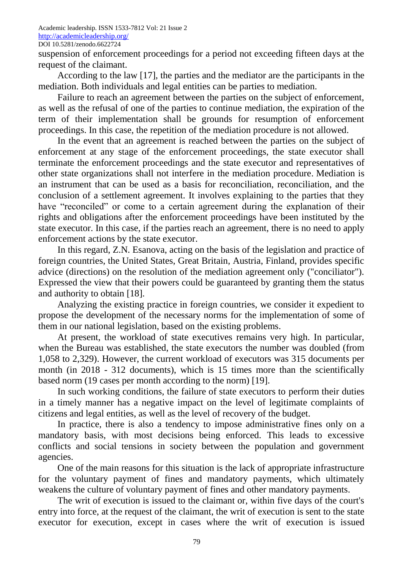suspension of enforcement proceedings for a period not exceeding fifteen days at the request of the claimant.

According to the law [17], the parties and the mediator are the participants in the mediation. Both individuals and legal entities can be parties to mediation.

Failure to reach an agreement between the parties on the subject of enforcement, as well as the refusal of one of the parties to continue mediation, the expiration of the term of their implementation shall be grounds for resumption of enforcement proceedings. In this case, the repetition of the mediation procedure is not allowed.

In the event that an agreement is reached between the parties on the subject of enforcement at any stage of the enforcement proceedings, the state executor shall terminate the enforcement proceedings and the state executor and representatives of other state organizations shall not interfere in the mediation procedure. Mediation is an instrument that can be used as a basis for reconciliation, reconciliation, and the conclusion of a settlement agreement. It involves explaining to the parties that they have "reconciled" or come to a certain agreement during the explanation of their rights and obligations after the enforcement proceedings have been instituted by the state executor. In this case, if the parties reach an agreement, there is no need to apply enforcement actions by the state executor.

In this regard, Z.N. Esanova, acting on the basis of the legislation and practice of foreign countries, the United States, Great Britain, Austria, Finland, provides specific advice (directions) on the resolution of the mediation agreement only ("conciliator"). Expressed the view that their powers could be guaranteed by granting them the status and authority to obtain [18].

Analyzing the existing practice in foreign countries, we consider it expedient to propose the development of the necessary norms for the implementation of some of them in our national legislation, based on the existing problems.

At present, the workload of state executives remains very high. In particular, when the Bureau was established, the state executors the number was doubled (from 1,058 to 2,329). However, the current workload of executors was 315 documents per month (in 2018 - 312 documents), which is 15 times more than the scientifically based norm (19 cases per month according to the norm) [19].

In such working conditions, the failure of state executors to perform their duties in a timely manner has a negative impact on the level of legitimate complaints of citizens and legal entities, as well as the level of recovery of the budget.

In practice, there is also a tendency to impose administrative fines only on a mandatory basis, with most decisions being enforced. This leads to excessive conflicts and social tensions in society between the population and government agencies.

One of the main reasons for this situation is the lack of appropriate infrastructure for the voluntary payment of fines and mandatory payments, which ultimately weakens the culture of voluntary payment of fines and other mandatory payments.

The writ of execution is issued to the claimant or, within five days of the court's entry into force, at the request of the claimant, the writ of execution is sent to the state executor for execution, except in cases where the writ of execution is issued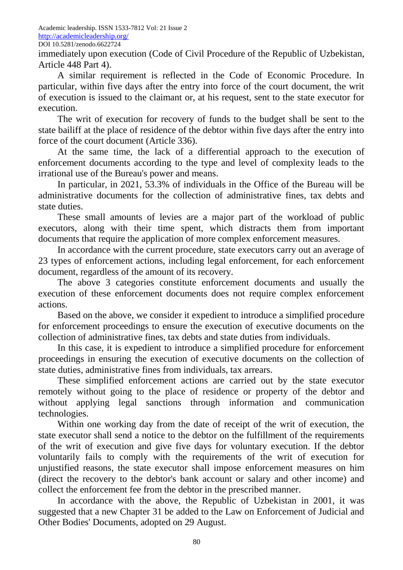immediately upon execution (Code of Civil Procedure of the Republic of Uzbekistan, Article 448 Part 4).

A similar requirement is reflected in the Code of Economic Procedure. In particular, within five days after the entry into force of the court document, the writ of execution is issued to the claimant or, at his request, sent to the state executor for execution.

The writ of execution for recovery of funds to the budget shall be sent to the state bailiff at the place of residence of the debtor within five days after the entry into force of the court document (Article 336).

At the same time, the lack of a differential approach to the execution of enforcement documents according to the type and level of complexity leads to the irrational use of the Bureau's power and means.

In particular, in 2021, 53.3% of individuals in the Office of the Bureau will be administrative documents for the collection of administrative fines, tax debts and state duties.

These small amounts of levies are a major part of the workload of public executors, along with their time spent, which distracts them from important documents that require the application of more complex enforcement measures.

In accordance with the current procedure, state executors carry out an average of 23 types of enforcement actions, including legal enforcement, for each enforcement document, regardless of the amount of its recovery.

The above 3 categories constitute enforcement documents and usually the execution of these enforcement documents does not require complex enforcement actions.

Based on the above, we consider it expedient to introduce a simplified procedure for enforcement proceedings to ensure the execution of executive documents on the collection of administrative fines, tax debts and state duties from individuals.

In this case, it is expedient to introduce a simplified procedure for enforcement proceedings in ensuring the execution of executive documents on the collection of state duties, administrative fines from individuals, tax arrears.

These simplified enforcement actions are carried out by the state executor remotely without going to the place of residence or property of the debtor and without applying legal sanctions through information and communication technologies.

Within one working day from the date of receipt of the writ of execution, the state executor shall send a notice to the debtor on the fulfillment of the requirements of the writ of execution and give five days for voluntary execution. If the debtor voluntarily fails to comply with the requirements of the writ of execution for unjustified reasons, the state executor shall impose enforcement measures on him (direct the recovery to the debtor's bank account or salary and other income) and collect the enforcement fee from the debtor in the prescribed manner.

In accordance with the above, the Republic of Uzbekistan in 2001, it was suggested that a new Chapter 31 be added to the Law on Enforcement of Judicial and Other Bodies' Documents, adopted on 29 August.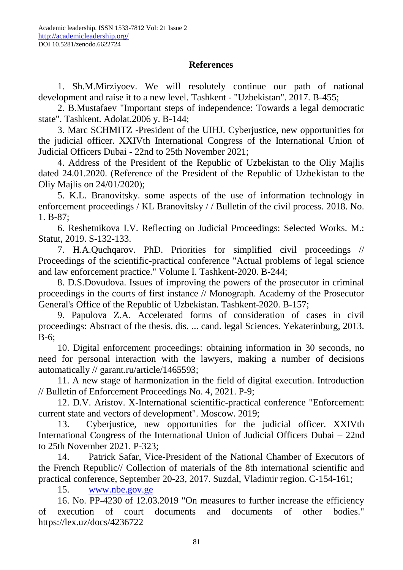## **References**

1. Sh.M.Mirziyoev. We will resolutely continue our path of national development and raise it to a new level. Tashkent - "Uzbekistan". 2017. B-455;

2. B.Mustafaev "Important steps of independence: Towards a legal democratic state". Tashkent. Adolat.2006 y. B-144;

3. Marc SCHMITZ -President of the UIHJ. Cyberjustice, new opportunities for the judicial officer. XXIVth International Congress of the International Union of Judicial Officers Dubai - 22nd to 25th November 2021;

4. Address of the President of the Republic of Uzbekistan to the Oliy Majlis dated 24.01.2020. (Reference of the President of the Republic of Uzbekistan to the Oliy Majlis on 24/01/2020);

5. K.L. Branovitsky. some aspects of the use of information technology in enforcement proceedings / KL Branovitsky / / Bulletin of the civil process. 2018. No. 1. B-87;

6. Reshetnikova I.V. Reflecting on Judicial Proceedings: Selected Works. M.: Statut, 2019. S-132-133.

7. H.A.Quchqarov. PhD. Priorities for simplified civil proceedings // Proceedings of the scientific-practical conference "Actual problems of legal science and law enforcement practice." Volume I. Tashkent-2020. B-244;

8. D.S.Dovudova. Issues of improving the powers of the prosecutor in criminal proceedings in the courts of first instance // Monograph. Academy of the Prosecutor General's Office of the Republic of Uzbekistan. Tashkent-2020. B-157;

9. Papulova Z.A. Accelerated forms of consideration of cases in civil proceedings: Abstract of the thesis. dis. ... cand. legal Sciences. Yekaterinburg, 2013. B-6;

10. Digital enforcement proceedings: obtaining information in 30 seconds, no need for personal interaction with the lawyers, making a number of decisions automatically // garant.ru/article/1465593;

11. A new stage of harmonization in the field of digital execution. Introduction // Bulletin of Enforcement Proceedings No. 4, 2021. P-9;

12. D.V. Aristov. X-International scientific-practical conference "Enforcement: current state and vectors of development". Moscow. 2019;

13. Cyberjustice, new opportunities for the judicial officer. XXIVth International Congress of the International Union of Judicial Officers Dubai – 22nd to 25th November 2021. P-323;

14. Patrick Safar, Vice-President of the National Chamber of Executors of the French Republic// Collection of materials of the 8th international scientific and practical conference, September 20-23, 2017. Suzdal, Vladimir region. C-154-161;

15. [www.nbe.gov.ge](http://www.nbe.gov.ge/)

16. No. PP-4230 of 12.03.2019 "On measures to further increase the efficiency of execution of court documents and documents of other bodies." https://lex.uz/docs/4236722